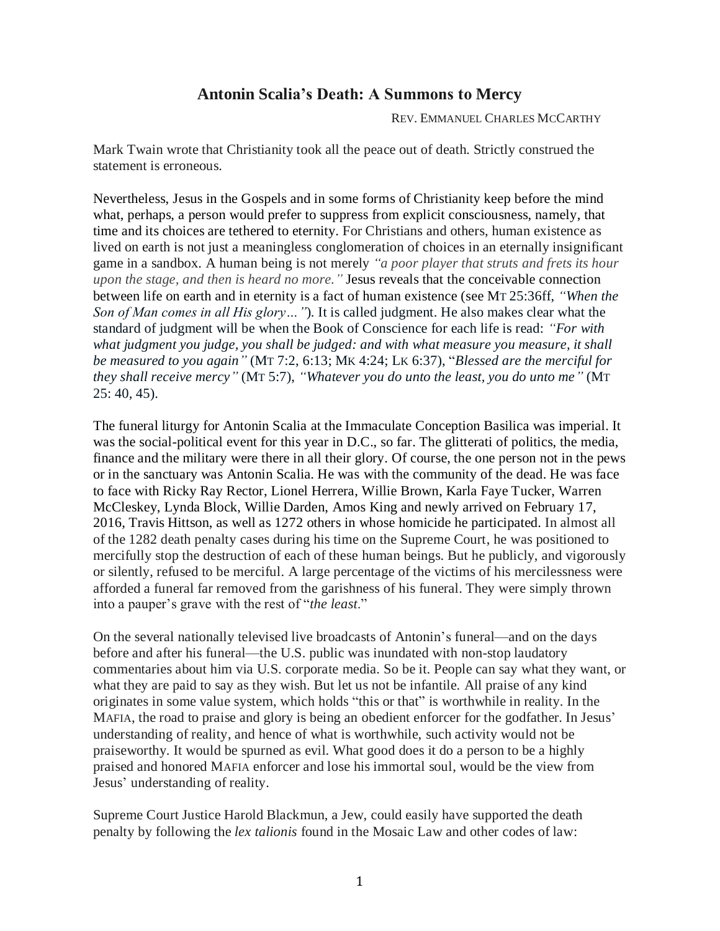## **Antonin Scalia's Death: A Summons to Mercy**

REV. EMMANUEL CHARLES MCCARTHY

Mark Twain wrote that Christianity took all the peace out of death. Strictly construed the statement is erroneous.

Nevertheless, Jesus in the Gospels and in some forms of Christianity keep before the mind what, perhaps, a person would prefer to suppress from explicit consciousness, namely, that time and its choices are tethered to eternity. For Christians and others, human existence as lived on earth is not just a meaningless conglomeration of choices in an eternally insignificant game in a sandbox. A human being is not merely *"a poor player that struts and frets its hour upon the stage, and then is heard no more."* Jesus reveals that the conceivable connection between life on earth and in eternity is a fact of human existence (see MT 25:36ff, *"When the Son of Man comes in all His glory…"*)*.* It is called judgment. He also makes clear what the standard of judgment will be when the Book of Conscience for each life is read: *"For with what judgment you judge, you shall be judged: and with what measure you measure, it shall be measured to you again"* (MT 7:2, 6:13; MK 4:24; LK 6:37), "*Blessed are the merciful for they shall receive mercy"* (MT 5:7), *"Whatever you do unto the least, you do unto me"* (MT  $25: 40, 45$ ).

The funeral liturgy for Antonin Scalia at the Immaculate Conception Basilica was imperial. It was the social-political event for this year in D.C., so far. The glitterati of politics, the media, finance and the military were there in all their glory. Of course, the one person not in the pews or in the sanctuary was Antonin Scalia. He was with the community of the dead. He was face to face with Ricky Ray Rector, Lionel Herrera, Willie Brown, Karla Faye Tucker, Warren McCleskey, Lynda Block, Willie Darden, Amos King and newly arrived on February 17, 2016, Travis Hittson, as well as 1272 others in whose homicide he participated. In almost all of the 1282 death penalty cases during his time on the Supreme Court, he was positioned to mercifully stop the destruction of each of these human beings. But he publicly, and vigorously or silently, refused to be merciful. A large percentage of the victims of his mercilessness were afforded a funeral far removed from the garishness of his funeral. They were simply thrown into a pauper's grave with the rest of "*the least*."

On the several nationally televised live broadcasts of Antonin's funeral—and on the days before and after his funeral—the U.S. public was inundated with non-stop laudatory commentaries about him via U.S. corporate media. So be it. People can say what they want, or what they are paid to say as they wish. But let us not be infantile. All praise of any kind originates in some value system, which holds "this or that" is worthwhile in reality. In the MAFIA, the road to praise and glory is being an obedient enforcer for the godfather. In Jesus' understanding of reality, and hence of what is worthwhile, such activity would not be praiseworthy. It would be spurned as evil. What good does it do a person to be a highly praised and honored MAFIA enforcer and lose his immortal soul, would be the view from Jesus' understanding of reality.

Supreme Court Justice Harold Blackmun, a Jew, could easily have supported the death penalty by following the *lex talionis* found in the Mosaic Law and other codes of law: